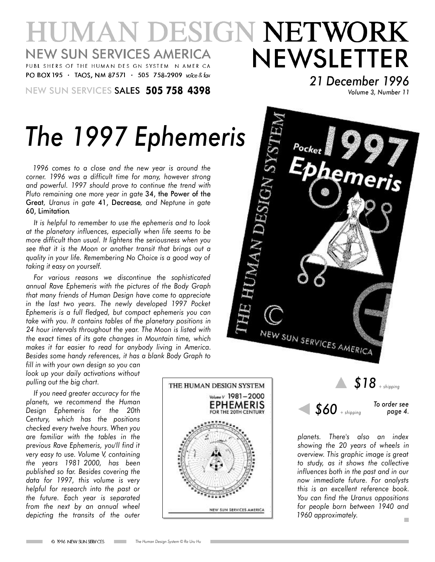#### **IUMAN DESIGN NETWORK** NEWSLETTER **NEW SUN SERVICES AMERICA** PUBL SHERS OF THE HUMAN DES GN SYSTEM N AMER CA PO BOX 195 · TAOS, NM 87571 · 505 758-2909 voice & fax

NEW SUN SERVICES SALES **505 758 4398** *Volume 3, Number <sup>11</sup>*

*21 December 1996*

# *The 1997 Ephemeris*

*1996 comes to a close and the new year is around the corner. 1996 was a difficult time for many, however strong and powerful. 1997 should prove to continue the trend with Pluto remaining one more year in gate* 34, the Power of the Great*, Uranus in gate* 41, Decrease*, and Neptune in gate* 60, Limitation*.*

*It is helpful to remember to use the ephemeris and to look at the planetary influences, especially when life seems to be more difficult than usual. It lightens the seriousness when you see that it is the Moon or another transit that brings out a quality in your life. Remembering No Choice is a good way of taking it easy on yourself.*

*For various reasons we discontinue the sophisticated annual Rave Ephemeris with the pictures of the Body Graph that many friends of Human Design have come to appreciate in the last two years. The newly developed 1997 Pocket Ephemeris is a full fledged, but compact ephemeris you can take with you. It contains tables of the planetary positions in 24 hour intervals throughout the year. The Moon is listed with the exact times of its gate changes in Mountain time, which makes it far easier to read for anybody living in America. Besides some handy references, it has a blank Body Graph to*

*fill in with your own design so you can look up your daily activations without pulling out the big chart.*

*If you need greater accuracy for the planets, we recommend the Human Design Ephemeris for the 20th Century, which has the positions checked every twelve hours. When you are familiar with the tables in the previous Rave Ephemeris, you'll find it very easy to use. Volume V, containing the years 1981 2000, has been published so far. Besides covering the data for 1997, this volume is very helpful for research into the past or the future. Each year is separated from the next by an annual wheel depicting the transits of the outer*







*planets. There's also an index showing the 20 years of wheels in overview. This graphic image is great to study, as it shows the collective influences both in the past and in our now immediate future. For analysts this is an excellent reference book. You can find the Uranus oppositions for people born between 1940 and 1960 approximately.* m.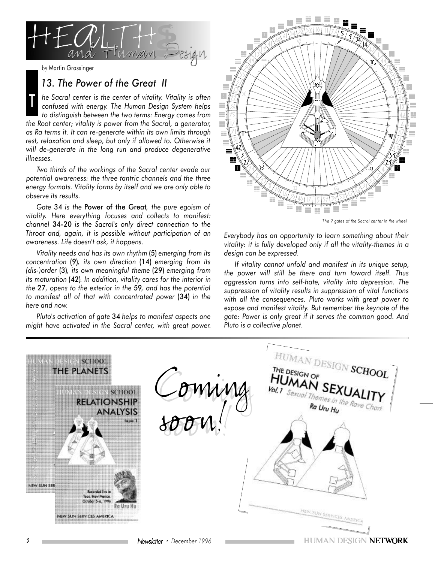

#### *13. The Power of the Great II*

*he Sacral center is the center of vitality. Vitality is often confused with energy. The Human Design System helps to distinguish between the two terms: Energy comes from the Root center; vitality is power from the Sacral, a generator, as Ra terms it. It can re-generate within its own limits through rest, relaxation and sleep, but only if allowed to. Otherwise it will de-generate in the long run and produce degenerative illnesses.* T

*Two thirds of the workings of the Sacral center evade our potential awareness: the three tantric channels and the three energy formats. Vitality forms by itself and we are only able to observe its results.*

*Gate* 34 *is the* Power of the Great*, the pure egoism of vitality. Here everything focuses and collects to manifest: channel* 34-20 *is the Sacral's only direct connection to the Throat and, again, it is possible without participation of an awareness. Life doesn't ask, it happens.*

*Vitality needs and has its own rhythm* (5) *emerging from its concentration* (9)*, its own direction* (14) *emerging from its (dis-)order* (3)*, its own meaningful theme* (29) *emerging from its maturation* (42)*. In addition, vitality cares for the interior in the* 27*, opens to the exterior in the* 59*, and has the potential to manifest all of that with concentrated power* (34) *in the here and now.*

*Pluto's activation of gate* 34 *helps to manifest aspects one might have activated in the Sacral center, with great power.*



*The 9 gates of the Sacral center in the wheel*

*Everybody has an opportunity to learn something about their vitality: it is fully developed only if all the vitality-themes in a design can be expressed.*

*If vitality cannot unfold and manifest in its unique setup, the power will still be there and turn toward itself. Thus aggression turns into self-hate, vitality into depression. The suppression of vitality results in suppression of vital functions with all the consequences. Pluto works with great power to expose and manifest vitality. But remember the keynote of the gate: Power is only great if it serves the common good. And Pluto is a collective planet.*

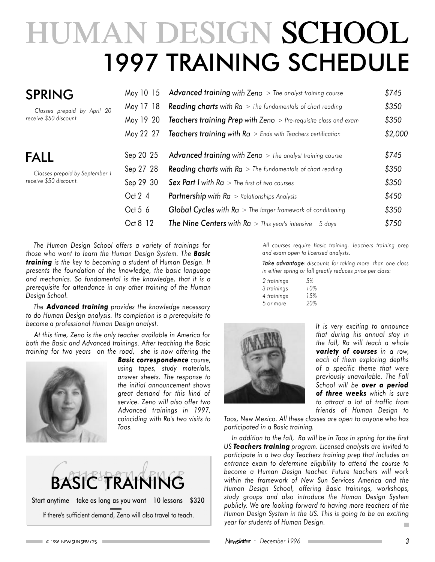## HUMAN DESIGN SCHOOL 1997 TRAINING SCHEDULE

| <b>SPRING</b>                                                           | May 10 15                                                                               | Advanced training with Zeno > The analyst training course                                                                                                                                                                                                                                                                                                                                                                                                                                     | \$745                                                         |
|-------------------------------------------------------------------------|-----------------------------------------------------------------------------------------|-----------------------------------------------------------------------------------------------------------------------------------------------------------------------------------------------------------------------------------------------------------------------------------------------------------------------------------------------------------------------------------------------------------------------------------------------------------------------------------------------|---------------------------------------------------------------|
| Classes prepaid by April 20                                             | May 17 18                                                                               | <b>Reading charts with Ra</b> $>$ The fundamentals of chart reading                                                                                                                                                                                                                                                                                                                                                                                                                           | \$350                                                         |
| receive \$50 discount.                                                  | May 19 20                                                                               | <b>Teachers training Prep with Zeno</b> $>$ Pre-requisite class and exam                                                                                                                                                                                                                                                                                                                                                                                                                      | \$350                                                         |
| <b>FALL</b><br>Classes prepaid by September 1<br>receive \$50 discount. | May 22 27<br>Sep 20 25<br>Sep 27 28<br>Sep 29 30<br>Oct $2\,4$<br>Oct 5 $6$<br>Oct 8 12 | <b>Teachers training with Ra</b> $>$ Ends with Teachers certification<br><b>Advanced training with Zeno</b> $>$ The analyst training course<br><b>Reading charts with Ra</b> $>$ The fundamentals of chart reading<br><b>Sex Part I with Ra</b> $>$ The first of two courses<br><b>Partnership with <math>Ra</math></b> > Relationships Analysis<br><b>Global Cycles with Ra</b> $>$ The larger framework of conditioning<br><b>The Nine Centers with Ra</b> $>$ This year's intensive 5 days | \$2,000<br>\$745<br>\$350<br>\$350<br>\$450<br>\$350<br>\$750 |

*The Human Design School offers a variety of trainings for those who want to learn the Human Design System. The Basic training is the key to becoming a student of Human Design. It presents the foundation of the knowledge, the basic language and mechanics. So fundamental is the knowledge, that it is a prerequisite for attendance in any other training of the Human Design School.*

*The Advanced training provides the knowledge necessary to do Human Design analysis. Its completion is a prerequisite to become a professional Human Design analyst.*

*At this time, Zeno is the only teacher available in America for both the Basic and Advanced trainings. After teaching the Basic training for two years on the road, she is now offering the*



*Basic correspondence course, using tapes, study materials, answer sheets. The response to the initial announcement shows great demand for this kind of service. Zeno will also offer two Advanced trainings in 1997, coinciding with Ra's two visits to Taos.*



*All courses require Basic training. Teachers training prep and exam open to licensed analysts.*

*Take advantage: discounts for taking more than one class in either spring or fall greatly reduces price per class:*

| 2 trainings | 5%  |
|-------------|-----|
| 3 trainings | 10% |
| 4 trainings | 15% |
| 5 or more   | 20% |



*It is very exciting to announce that during his annual stay in the fall, Ra will teach a whole variety of courses in a row, each of them exploring depths of a specific theme that were previously unavailable. The Fall School will be over a period of three weeks which is sure to attract a lot of traffic from friends of Human Design to*

*Taos, New Mexico. All these classes are open to anyone who has participated in a Basic training.*

*In addition to the fall, Ra will be in Taos in spring for the first US Teachers training program. Licensed analysts are invited to participate in a two day Teachers training prep that includes an entrance exam to determine eligibility to attend the course to become a Human Design teacher. Future teachers will work within the framework of New Sun Services America and the Human Design School, offering Basic trainings, workshops, study groups and also introduce the Human Design System publicly. We are looking forward to having more teachers of the Human Design System in the US. This is going to be an exciting year for students of Human Design.*  $\blacksquare$